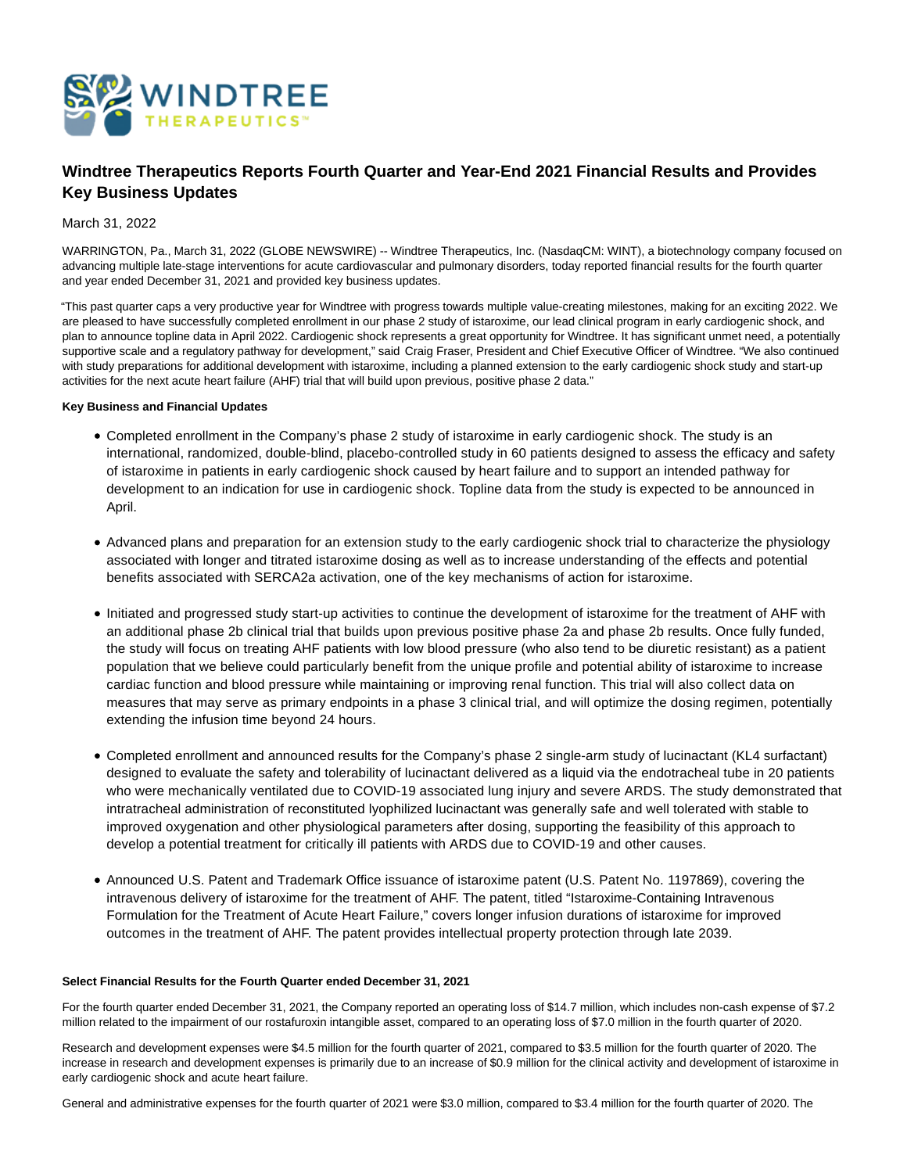

# **Windtree Therapeutics Reports Fourth Quarter and Year-End 2021 Financial Results and Provides Key Business Updates**

# March 31, 2022

WARRINGTON, Pa., March 31, 2022 (GLOBE NEWSWIRE) -- Windtree Therapeutics, Inc. (NasdaqCM: WINT), a biotechnology company focused on advancing multiple late-stage interventions for acute cardiovascular and pulmonary disorders, today reported financial results for the fourth quarter and year ended December 31, 2021 and provided key business updates.

"This past quarter caps a very productive year for Windtree with progress towards multiple value-creating milestones, making for an exciting 2022. We are pleased to have successfully completed enrollment in our phase 2 study of istaroxime, our lead clinical program in early cardiogenic shock, and plan to announce topline data in April 2022. Cardiogenic shock represents a great opportunity for Windtree. It has significant unmet need, a potentially supportive scale and a regulatory pathway for development," said Craig Fraser, President and Chief Executive Officer of Windtree. "We also continued with study preparations for additional development with istaroxime, including a planned extension to the early cardiogenic shock study and start-up activities for the next acute heart failure (AHF) trial that will build upon previous, positive phase 2 data."

### **Key Business and Financial Updates**

- Completed enrollment in the Company's phase 2 study of istaroxime in early cardiogenic shock. The study is an international, randomized, double-blind, placebo-controlled study in 60 patients designed to assess the efficacy and safety of istaroxime in patients in early cardiogenic shock caused by heart failure and to support an intended pathway for development to an indication for use in cardiogenic shock. Topline data from the study is expected to be announced in April.
- Advanced plans and preparation for an extension study to the early cardiogenic shock trial to characterize the physiology associated with longer and titrated istaroxime dosing as well as to increase understanding of the effects and potential benefits associated with SERCA2a activation, one of the key mechanisms of action for istaroxime.
- Initiated and progressed study start-up activities to continue the development of istaroxime for the treatment of AHF with an additional phase 2b clinical trial that builds upon previous positive phase 2a and phase 2b results. Once fully funded, the study will focus on treating AHF patients with low blood pressure (who also tend to be diuretic resistant) as a patient population that we believe could particularly benefit from the unique profile and potential ability of istaroxime to increase cardiac function and blood pressure while maintaining or improving renal function. This trial will also collect data on measures that may serve as primary endpoints in a phase 3 clinical trial, and will optimize the dosing regimen, potentially extending the infusion time beyond 24 hours.
- Completed enrollment and announced results for the Company's phase 2 single-arm study of lucinactant (KL4 surfactant) designed to evaluate the safety and tolerability of lucinactant delivered as a liquid via the endotracheal tube in 20 patients who were mechanically ventilated due to COVID-19 associated lung injury and severe ARDS. The study demonstrated that intratracheal administration of reconstituted lyophilized lucinactant was generally safe and well tolerated with stable to improved oxygenation and other physiological parameters after dosing, supporting the feasibility of this approach to develop a potential treatment for critically ill patients with ARDS due to COVID-19 and other causes.
- Announced U.S. Patent and Trademark Office issuance of istaroxime patent (U.S. Patent No. 1197869), covering the intravenous delivery of istaroxime for the treatment of AHF. The patent, titled "Istaroxime-Containing Intravenous Formulation for the Treatment of Acute Heart Failure," covers longer infusion durations of istaroxime for improved outcomes in the treatment of AHF. The patent provides intellectual property protection through late 2039.

#### **Select Financial Results for the Fourth Quarter ended December 31, 2021**

For the fourth quarter ended December 31, 2021, the Company reported an operating loss of \$14.7 million, which includes non-cash expense of \$7.2 million related to the impairment of our rostafuroxin intangible asset, compared to an operating loss of \$7.0 million in the fourth quarter of 2020.

Research and development expenses were \$4.5 million for the fourth quarter of 2021, compared to \$3.5 million for the fourth quarter of 2020. The increase in research and development expenses is primarily due to an increase of \$0.9 million for the clinical activity and development of istaroxime in early cardiogenic shock and acute heart failure.

General and administrative expenses for the fourth quarter of 2021 were \$3.0 million, compared to \$3.4 million for the fourth quarter of 2020. The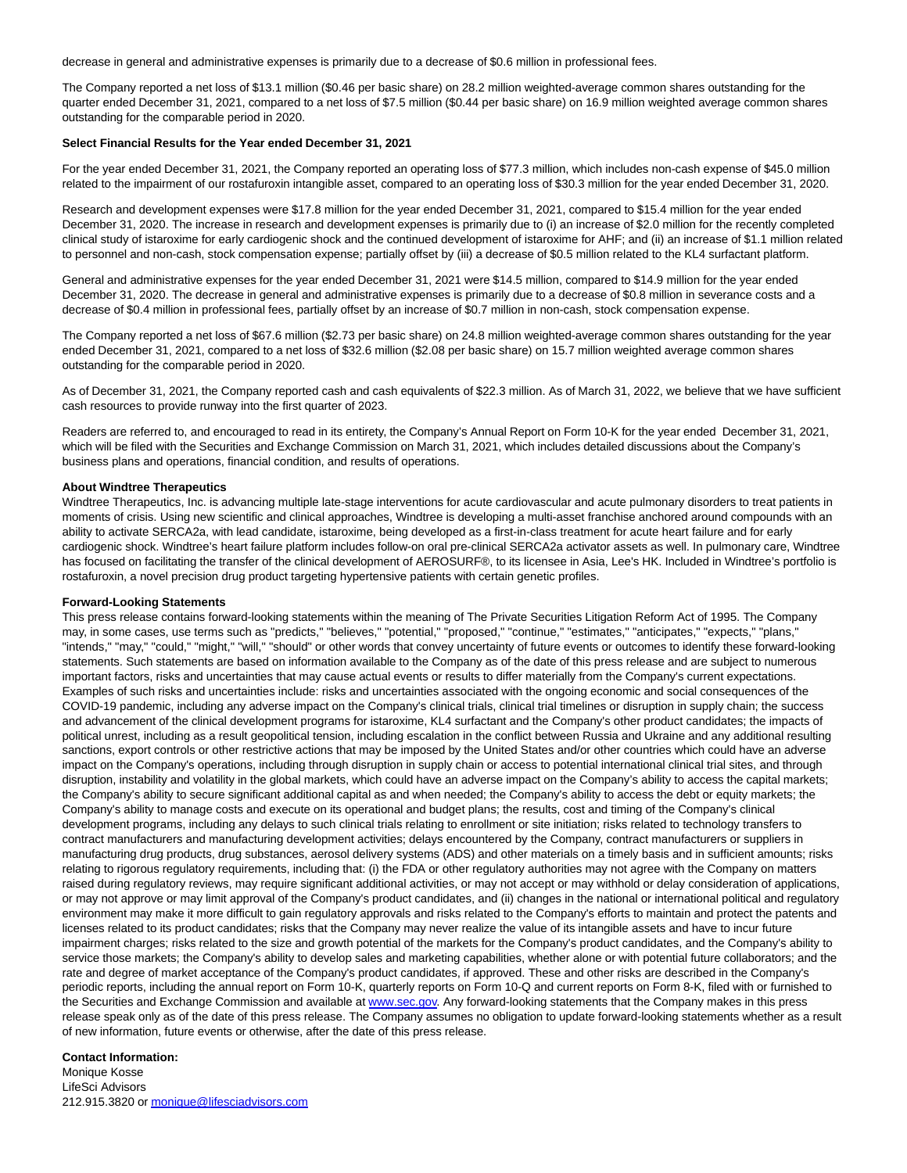decrease in general and administrative expenses is primarily due to a decrease of \$0.6 million in professional fees.

The Company reported a net loss of \$13.1 million (\$0.46 per basic share) on 28.2 million weighted-average common shares outstanding for the quarter ended December 31, 2021, compared to a net loss of \$7.5 million (\$0.44 per basic share) on 16.9 million weighted average common shares outstanding for the comparable period in 2020.

#### **Select Financial Results for the Year ended December 31, 2021**

For the year ended December 31, 2021, the Company reported an operating loss of \$77.3 million, which includes non-cash expense of \$45.0 million related to the impairment of our rostafuroxin intangible asset, compared to an operating loss of \$30.3 million for the year ended December 31, 2020.

Research and development expenses were \$17.8 million for the year ended December 31, 2021, compared to \$15.4 million for the year ended December 31, 2020. The increase in research and development expenses is primarily due to (i) an increase of \$2.0 million for the recently completed clinical study of istaroxime for early cardiogenic shock and the continued development of istaroxime for AHF; and (ii) an increase of \$1.1 million related to personnel and non-cash, stock compensation expense; partially offset by (iii) a decrease of \$0.5 million related to the KL4 surfactant platform.

General and administrative expenses for the year ended December 31, 2021 were \$14.5 million, compared to \$14.9 million for the year ended December 31, 2020. The decrease in general and administrative expenses is primarily due to a decrease of \$0.8 million in severance costs and a decrease of \$0.4 million in professional fees, partially offset by an increase of \$0.7 million in non-cash, stock compensation expense.

The Company reported a net loss of \$67.6 million (\$2.73 per basic share) on 24.8 million weighted-average common shares outstanding for the year ended December 31, 2021, compared to a net loss of \$32.6 million (\$2.08 per basic share) on 15.7 million weighted average common shares outstanding for the comparable period in 2020.

As of December 31, 2021, the Company reported cash and cash equivalents of \$22.3 million. As of March 31, 2022, we believe that we have sufficient cash resources to provide runway into the first quarter of 2023.

Readers are referred to, and encouraged to read in its entirety, the Company's Annual Report on Form 10-K for the year ended December 31, 2021, which will be filed with the Securities and Exchange Commission on March 31, 2021, which includes detailed discussions about the Company's business plans and operations, financial condition, and results of operations.

#### **About Windtree Therapeutics**

Windtree Therapeutics, Inc. is advancing multiple late-stage interventions for acute cardiovascular and acute pulmonary disorders to treat patients in moments of crisis. Using new scientific and clinical approaches, Windtree is developing a multi-asset franchise anchored around compounds with an ability to activate SERCA2a, with lead candidate, istaroxime, being developed as a first-in-class treatment for acute heart failure and for early cardiogenic shock. Windtree's heart failure platform includes follow-on oral pre-clinical SERCA2a activator assets as well. In pulmonary care, Windtree has focused on facilitating the transfer of the clinical development of AEROSURF®, to its licensee in Asia, Lee's HK. Included in Windtree's portfolio is rostafuroxin, a novel precision drug product targeting hypertensive patients with certain genetic profiles.

#### **Forward-Looking Statements**

This press release contains forward-looking statements within the meaning of The Private Securities Litigation Reform Act of 1995. The Company may, in some cases, use terms such as "predicts," "believes," "potential," "proposed," "continue," "estimates," "anticipates," "expects," "plans," "intends," "may," "could," "might," "will," "should" or other words that convey uncertainty of future events or outcomes to identify these forward-looking statements. Such statements are based on information available to the Company as of the date of this press release and are subject to numerous important factors, risks and uncertainties that may cause actual events or results to differ materially from the Company's current expectations. Examples of such risks and uncertainties include: risks and uncertainties associated with the ongoing economic and social consequences of the COVID-19 pandemic, including any adverse impact on the Company's clinical trials, clinical trial timelines or disruption in supply chain; the success and advancement of the clinical development programs for istaroxime, KL4 surfactant and the Company's other product candidates; the impacts of political unrest, including as a result geopolitical tension, including escalation in the conflict between Russia and Ukraine and any additional resulting sanctions, export controls or other restrictive actions that may be imposed by the United States and/or other countries which could have an adverse impact on the Company's operations, including through disruption in supply chain or access to potential international clinical trial sites, and through disruption, instability and volatility in the global markets, which could have an adverse impact on the Company's ability to access the capital markets; the Company's ability to secure significant additional capital as and when needed; the Company's ability to access the debt or equity markets; the Company's ability to manage costs and execute on its operational and budget plans; the results, cost and timing of the Company's clinical development programs, including any delays to such clinical trials relating to enrollment or site initiation; risks related to technology transfers to contract manufacturers and manufacturing development activities; delays encountered by the Company, contract manufacturers or suppliers in manufacturing drug products, drug substances, aerosol delivery systems (ADS) and other materials on a timely basis and in sufficient amounts; risks relating to rigorous regulatory requirements, including that: (i) the FDA or other regulatory authorities may not agree with the Company on matters raised during regulatory reviews, may require significant additional activities, or may not accept or may withhold or delay consideration of applications, or may not approve or may limit approval of the Company's product candidates, and (ii) changes in the national or international political and regulatory environment may make it more difficult to gain regulatory approvals and risks related to the Company's efforts to maintain and protect the patents and licenses related to its product candidates; risks that the Company may never realize the value of its intangible assets and have to incur future impairment charges; risks related to the size and growth potential of the markets for the Company's product candidates, and the Company's ability to service those markets; the Company's ability to develop sales and marketing capabilities, whether alone or with potential future collaborators; and the rate and degree of market acceptance of the Company's product candidates, if approved. These and other risks are described in the Company's periodic reports, including the annual report on Form 10-K, quarterly reports on Form 10-Q and current reports on Form 8-K, filed with or furnished to the Securities and Exchange Commission and available at [www.sec.gov.](http://www.sec.gov/) Any forward-looking statements that the Company makes in this press release speak only as of the date of this press release. The Company assumes no obligation to update forward-looking statements whether as a result of new information, future events or otherwise, after the date of this press release.

#### **Contact Information:**

Monique Kosse LifeSci Advisors 212.915.3820 o[r monique@lifesciadvisors.com](https://www.globenewswire.com/Tracker?data=ek6RQQcqMxOL25AF4kePeC-nuer1mLje3X6FXaKwoWzIygfdClFISRtp5ukOiQ7x9ChfeumcX-IaL9urU_D8N-gfEm-6D-iVhdoWQ8DM3lHY-tXUVmX7snJnrzKmKqFP)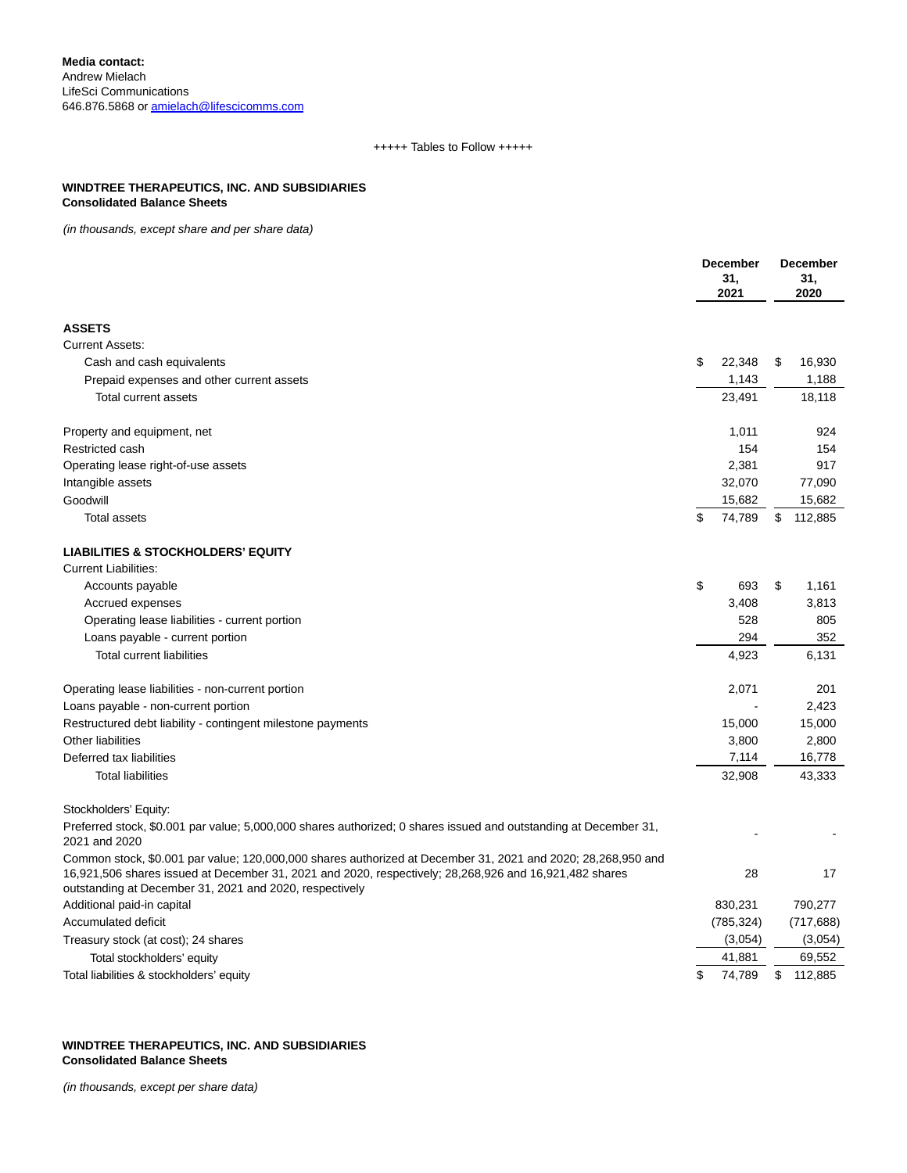# +++++ Tables to Follow +++++

# **WINDTREE THERAPEUTICS, INC. AND SUBSIDIARIES Consolidated Balance Sheets**

(in thousands, except share and per share data)

|                                                                                                                                                                                                                                                                                   | <b>December</b><br>31,<br>2021 |    | <b>December</b><br>31,<br>2020 |  |
|-----------------------------------------------------------------------------------------------------------------------------------------------------------------------------------------------------------------------------------------------------------------------------------|--------------------------------|----|--------------------------------|--|
| <b>ASSETS</b>                                                                                                                                                                                                                                                                     |                                |    |                                |  |
| <b>Current Assets:</b>                                                                                                                                                                                                                                                            |                                |    |                                |  |
| Cash and cash equivalents                                                                                                                                                                                                                                                         | \$<br>22,348                   | \$ | 16,930                         |  |
| Prepaid expenses and other current assets                                                                                                                                                                                                                                         | 1,143                          |    | 1,188                          |  |
| Total current assets                                                                                                                                                                                                                                                              | 23,491                         |    | 18,118                         |  |
| Property and equipment, net                                                                                                                                                                                                                                                       | 1,011                          |    | 924                            |  |
| Restricted cash                                                                                                                                                                                                                                                                   | 154                            |    | 154                            |  |
| Operating lease right-of-use assets                                                                                                                                                                                                                                               | 2,381                          |    | 917                            |  |
| Intangible assets                                                                                                                                                                                                                                                                 | 32,070                         |    | 77,090                         |  |
| Goodwill                                                                                                                                                                                                                                                                          | 15,682                         |    | 15,682                         |  |
| <b>Total assets</b>                                                                                                                                                                                                                                                               | \$<br>74,789                   | \$ | 112,885                        |  |
| <b>LIABILITIES &amp; STOCKHOLDERS' EQUITY</b>                                                                                                                                                                                                                                     |                                |    |                                |  |
| <b>Current Liabilities:</b>                                                                                                                                                                                                                                                       |                                |    |                                |  |
| Accounts payable                                                                                                                                                                                                                                                                  | \$<br>693                      | \$ | 1,161                          |  |
| Accrued expenses                                                                                                                                                                                                                                                                  | 3,408                          |    | 3,813                          |  |
| Operating lease liabilities - current portion                                                                                                                                                                                                                                     | 528                            |    | 805                            |  |
| Loans payable - current portion                                                                                                                                                                                                                                                   | 294                            |    | 352                            |  |
| <b>Total current liabilities</b>                                                                                                                                                                                                                                                  | 4,923                          |    | 6,131                          |  |
| Operating lease liabilities - non-current portion                                                                                                                                                                                                                                 | 2,071                          |    | 201                            |  |
| Loans payable - non-current portion                                                                                                                                                                                                                                               |                                |    | 2,423                          |  |
| Restructured debt liability - contingent milestone payments                                                                                                                                                                                                                       | 15,000                         |    | 15,000                         |  |
| <b>Other liabilities</b>                                                                                                                                                                                                                                                          | 3,800                          |    | 2,800                          |  |
| Deferred tax liabilities                                                                                                                                                                                                                                                          | 7,114                          |    | 16,778                         |  |
| <b>Total liabilities</b>                                                                                                                                                                                                                                                          | 32,908                         |    | 43,333                         |  |
| Stockholders' Equity:                                                                                                                                                                                                                                                             |                                |    |                                |  |
| Preferred stock, \$0.001 par value; 5,000,000 shares authorized; 0 shares issued and outstanding at December 31,<br>2021 and 2020                                                                                                                                                 |                                |    |                                |  |
| Common stock, \$0.001 par value; 120,000,000 shares authorized at December 31, 2021 and 2020; 28,268,950 and<br>16,921,506 shares issued at December 31, 2021 and 2020, respectively; 28,268,926 and 16,921,482 shares<br>outstanding at December 31, 2021 and 2020, respectively | 28                             |    | 17                             |  |
| Additional paid-in capital                                                                                                                                                                                                                                                        | 830,231                        |    | 790,277                        |  |
| Accumulated deficit                                                                                                                                                                                                                                                               | (785, 324)                     |    | (717, 688)                     |  |
| Treasury stock (at cost); 24 shares                                                                                                                                                                                                                                               | (3,054)                        |    | (3,054)                        |  |
| Total stockholders' equity                                                                                                                                                                                                                                                        | 41,881                         |    | 69,552                         |  |
| Total liabilities & stockholders' equity                                                                                                                                                                                                                                          | \$<br>74,789                   | \$ | 112,885                        |  |

## **WINDTREE THERAPEUTICS, INC. AND SUBSIDIARIES Consolidated Balance Sheets**